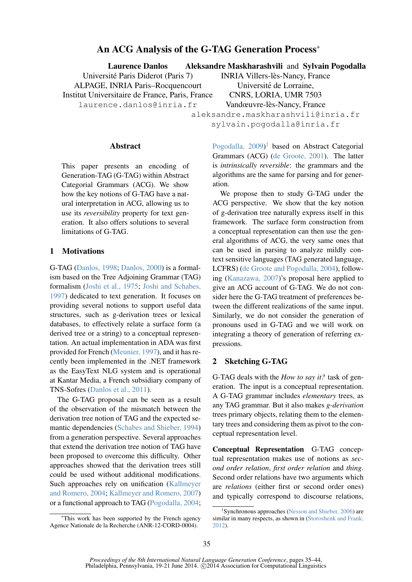# An ACG Analysis of the G-TAG Generation Process<sup>∗</sup>

Laurence Danlos Aleksandre Maskharashvili and Sylvain Pogodalla

Universite Paris Diderot (Paris 7) ´ ALPAGE, INRIA Paris–Rocquencourt Institut Universitaire de France, Paris, France

laurence.danlos@inria.fr

INRIA Villers-lès-Nancy, France Université de Lorraine, CNRS, LORIA, UMR 7503 Vandœuvre-lès-Nancy, France

aleksandre.maskharashvili@inria.fr sylvain.pogodalla@inria.fr

#### **Abstract**

This paper presents an encoding of Generation-TAG (G-TAG) within Abstract Categorial Grammars (ACG). We show how the key notions of G-TAG have a natural interpretation in ACG, allowing us to use its *reversibility* property for text generation. It also offers solutions to several limitations of G-TAG.

## 1 Motivations

G-TAG (Danlos, 1998; Danlos, 2000) is a formalism based on the Tree Adjoining Grammar (TAG) formalism (Joshi et al., 1975; Joshi and Schabes, 1997) dedicated to text generation. It focuses on providing several notions to support useful data structures, such as g-derivation trees or lexical databases, to effectively relate a surface form (a derived tree or a string) to a conceptual representation. An actual implementation in ADA was first provided for French (Meunier, 1997), and it has recently been implemented in the .NET framework as the EasyText NLG system and is operational at Kantar Media, a French subsidiary company of TNS-Sofres (Danlos et al., 2011).

The G-TAG proposal can be seen as a result of the observation of the mismatch between the derivation tree notion of TAG and the expected semantic dependencies (Schabes and Shieber, 1994) from a generation perspective. Several approaches that extend the derivation tree notion of TAG have been proposed to overcome this difficulty. Other approaches showed that the derivation trees still could be used without additional modifications. Such approaches rely on unification (Kallmeyer and Romero, 2004; Kallmeyer and Romero, 2007) or a functional approach to TAG (Pogodalla, 2004;

<sup>∗</sup>This work has been supported by the French agency Agence Nationale de la Recherche (ANR-12-CORD-0004).

Pogodalla, 2009)<sup>1</sup> based on Abstract Categorial Grammars (ACG) (de Groote, 2001). The latter is *intrinsically reversible*: the grammars and the algorithms are the same for parsing and for generation.

We propose then to study G-TAG under the ACG perspective. We show that the key notion of g-derivation tree naturally express itself in this framework. The surface form construction from a conceptual representation can then use the general algorithms of ACG, the very same ones that can be used in parsing to analyze mildly context sensitive languages (TAG generated language, LCFRS) (de Groote and Pogodalla, 2004), following (Kanazawa, 2007)'s proposal here applied to give an ACG account of G-TAG. We do not consider here the G-TAG treatment of preferences between the different realizations of the same input. Similarly, we do not consider the generation of pronouns used in G-TAG and we will work on integrating a theory of generation of referring expressions.

# 2 Sketching G-TAG

G-TAG deals with the *How to say it?* task of generation. The input is a conceptual representation. A G-TAG grammar includes *elementary* trees, as any TAG grammar. But it also makes *g-derivation* trees primary objects, relating them to the elementary trees and considering them as pivot to the conceptual representation level.

Conceptual Representation G-TAG conceptual representation makes use of notions as *second order relation*, *first order relation* and *thing*. Second order relations have two arguments which are *relations* (either first or second order ones) and typically correspond to discourse relations,

<sup>&</sup>lt;sup>1</sup>Synchronous approaches (Nesson and Shieber, 2006) are similar in many respects, as shown in (Storoshenk and Frank, 2012).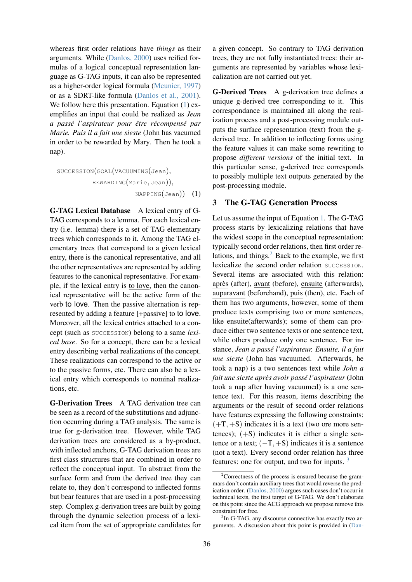whereas first order relations have *things* as their arguments. While (Danlos, 2000) uses reified formulas of a logical conceptual representation language as G-TAG inputs, it can also be represented as a higher-order logical formula (Meunier, 1997) or as a SDRT-like formula (Danlos et al., 2001). We follow here this presentation. Equation (1) exemplifies an input that could be realized as *Jean a passe l'aspirateur pour ´ etre r ˆ ecompens ´ e par ´ Marie. Puis il a fait une sieste* (John has vacumed in order to be rewarded by Mary. Then he took a nap).

SUCCESSION(GOAL(VACUUMING(Jean), REWARDING(Marie, Jean)), NAPPING(Jean)) (1)

G-TAG Lexical Database A lexical entry of G-TAG corresponds to a lemma. For each lexical entry (i.e. lemma) there is a set of TAG elementary trees which corresponds to it. Among the TAG elementary trees that correspond to a given lexical entry, there is the canonical representative, and all the other representatives are represented by adding features to the canonical representative. For example, if the lexical entry is to love, then the canonical representative will be the active form of the verb to love. Then the passive alternation is represented by adding a feature [+passive] to to love. Moreover, all the lexical entries attached to a concept (such as SUCCESSION) belong to a same *lexical base*. So for a concept, there can be a lexical entry describing verbal realizations of the concept. These realizations can correspond to the active or to the passive forms, etc. There can also be a lexical entry which corresponds to nominal realizations, etc.

G-Derivation Trees A TAG derivation tree can be seen as a record of the substitutions and adjunction occurring during a TAG analysis. The same is true for g-derivation tree. However, while TAG derivation trees are considered as a by-product, with inflected anchors, G-TAG derivation trees are first class structures that are combined in order to reflect the conceptual input. To abstract from the surface form and from the derived tree they can relate to, they don't correspond to inflected forms but bear features that are used in a post-processing step. Complex g-derivation trees are built by going through the dynamic selection process of a lexical item from the set of appropriate candidates for a given concept. So contrary to TAG derivation trees, they are not fully instantiated trees: their arguments are represented by variables whose lexicalization are not carried out yet.

G-Derived Trees A g-derivation tree defines a unique g-derived tree corresponding to it. This correspondance is maintained all along the realization process and a post-processing module outputs the surface representation (text) from the gderived tree. In addition to inflecting forms using the feature values it can make some rewriting to propose *different versions* of the initial text. In this particular sense, g-derived tree corresponds to possibly multiple text outputs generated by the post-processing module.

#### 3 The G-TAG Generation Process

Let us assume the input of Equation 1. The G-TAG process starts by lexicalizing relations that have the widest scope in the conceptual representation: typically second order relations, then first order relations, and things. $<sup>2</sup>$  Back to the example, we first</sup> lexicalize the second order relation SUCCESSION. Several items are associated with this relation: après (after), avant (before), ensuite (afterwards), auparavant (beforehand), puis (then), etc. Each of them has two arguments, however, some of them produce texts comprising two or more sentences, like ensuite(afterwards); some of them can produce either two sentence texts or one sentence text, while others produce only one sentence. For instance, *Jean a passe l'aspirateur. Ensuite, il a fait ´ une sieste* (John has vacuumed. Afterwards, he took a nap) is a two sentences text while *John a fait une sieste apres avoir pass ` e l'aspirateur ´* (John took a nap after having vacuumed) is a one sentence text. For this reason, items describing the arguments or the result of second order relations have features expressing the following constraints:  $(+T, +S)$  indicates it is a text (two ore more sentences);  $(+S)$  indicates it is either a single sentence or a text;  $(-T, +S)$  indicates it is a sentence (not a text). Every second order relation has three features: one for output, and two for inputs.  $3$ 

<sup>2</sup>Correctness of the process is ensured because the grammars don't contain auxiliary trees that would reverse the predication order. (Danlos, 2000) argues such cases don't occur in technical texts, the first target of G-TAG. We don't elaborate on this point since the ACG approach we propose remove this constraint for free.

<sup>&</sup>lt;sup>3</sup>In G-TAG, any discourse connective has exactly two arguments. A discussion about this point is provided in (Dan-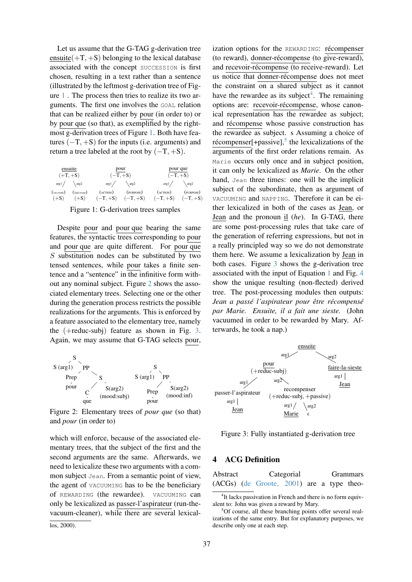Let us assume that the G-TAG g-derivation tree ensuite( $+T$ ,  $+S$ ) belonging to the lexical database associated with the concept SUCCESSION is first chosen, resulting in a text rather than a sentence (illustrated by the leftmost g-derivation tree of Figure 1 . The process then tries to realize its two arguments. The first one involves the GOAL relation that can be realized either by pour (in order to) or by pour que (so that), as exemplified by the rightmost g-derivation trees of Figure 1. Both have features  $(-T, +S)$  for the inputs (i.e. arguments) and return a tree labeled at the root by  $(-T, +S)$ .

| ensuite              |             | pour                  |           | pour que          |            |  |
|----------------------|-------------|-----------------------|-----------|-------------------|------------|--|
| $(+T, +S)$           |             | $(-T, +S)$            |           | $(-T, +S)$        |            |  |
| $arg1 / \qquad arg2$ |             | arg1/                 | \arg2     | arg1/             | \arg2      |  |
| (1st event)          | (2nd event) | $(\angle$ ACTION)     | (PURPOSE) | $(\angle$ ACTION) | (PURPOSE)  |  |
| $(+S)$               | $(+S)$      | $(-T, +S)$ $(-T, +S)$ |           | $(-T, +S)$        | $(-T, +S)$ |  |

Figure 1: G-derivation trees samples

Despite pour and pour que bearing the same features, the syntactic trees corresponding to pour and pour que are quite different. For pour que S substitution nodes can be substituted by two tensed sentences, while pour takes a finite sentence and a "sentence" in the infinitive form without any nominal subject. Figure 2 shows the associated elementary trees. Selecting one or the other during the generation process restricts the possible realizations for the arguments. This is enforced by a feature associated to the elementary tree, namely the (+reduc-subj) feature as shown in Fig. 3. Again, we may assume that G-TAG selects pour,



Figure 2: Elementary trees of *pour que* (so that) and *pour* (in order to)

which will enforce, because of the associated elementary trees, that the subject of the first and the second arguments are the same. Afterwards, we need to lexicalize these two arguments with a common subject Jean. From a semantic point of view, the agent of VACUUMING has to be the beneficiary of REWARDING (the rewardee). VACUUMING can only be lexicalized as passer-l'aspirateur (run-thevacuum-cleaner), while there are several lexicallos, 2000).

ization options for the REWARDING: récompenser  $($ to reward $)$ , donner-récompense  $($ to give-reward $)$ , and recevoir-récompense (to receive-reward). Let us notice that donner-récompense does not meet the constraint on a shared subject as it cannot have the rewardee as its subject<sup>4</sup>. The remaining options are: recevoir-récompense, whose canonical representation has the rewardee as subject; and récompense whose passive construction has the rewardee as subject. s Assuming a choice of récompenser $[+$ passive],<sup>5</sup> the lexicalizations of the arguments of the first order relations remain. As Marie occurs only once and in subject position, it can only be lexicalized as *Marie*. On the other hand, Jean three times: one will be the implicit subject of the subordinate, then as argument of VACUUMING and NAPPING. Therefore it can be either lexicalized in both of the cases as Jean, or Jean and the pronoun il (*he*). In G-TAG, there are some post-processing rules that take care of the generation of referring expressions, but not in a really principled way so we do not demonstrate them here. We assume a lexicalization by Jean in both cases. Figure 3 shows the g-derivation tree associated with the input of Equation 1 and Fig. 4 show the unique resulting (non-flected) derived tree. The post-processing modules then outputs: *Jean a passe l'aspirateur pour ´ etre r ˆ ecompens ´ e´ par Marie. Ensuite, il a fait une sieste.* (John vacuumed in order to be rewarded by Mary. Afterwards, he took a nap.)



Figure 3: Fully instantiated g-derivation tree

### 4 ACG Definition

| Abstract |  | Categorial                                  |  |  | <b>Grammars</b> |  |  |
|----------|--|---------------------------------------------|--|--|-----------------|--|--|
|          |  | $(ACGs)$ (de Groote, 2001) are a type theo- |  |  |                 |  |  |

<sup>&</sup>lt;sup>4</sup>It lacks passivation in French and there is no form equivalent to: John was given a reward by Mary.

<sup>&</sup>lt;sup>5</sup>Of course, all these branching points offer several realizations of the same entry. But for explanatory purposes, we describe only one at each step.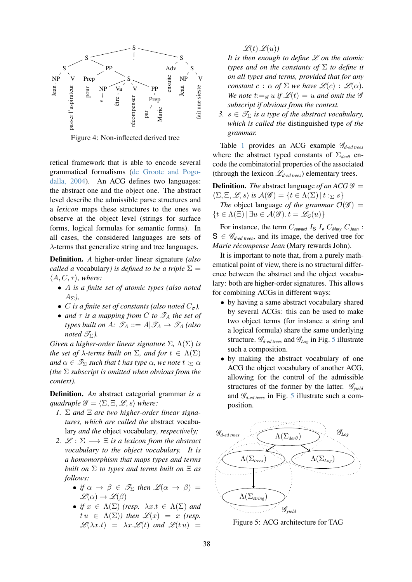

Figure 4: Non-inflected derived tree

retical framework that is able to encode several grammatical formalisms (de Groote and Pogodalla, 2004). An ACG defines two languages: the abstract one and the object one. The abstract level describe the admissible parse structures and a *lexicon* maps these structures to the ones we observe at the object level (strings for surface forms, logical formulas for semantic forms). In all cases, the considered languages are sets of  $\lambda$ -terms that generalize string and tree languages.

Definition. *A* higher-order linear signature *(also called a* vocabulary*)* is defined to be a triple  $\Sigma$  =  $\langle A, C, \tau \rangle$ *, where:* 

- A *is a finite set of atomic types (also noted*  $A_{\Sigma}$ ),
- C is a finite set of constants (also noted  $C_{\sigma}$ ),
- *and*  $\tau$  *is a mapping from* C *to*  $\mathscr{T}_A$  *the set of types built on A:*  $\mathscr{T}_A ::= A | \mathscr{T}_A \rightarrow \mathscr{T}_A$  *(also noted*  $\mathscr{T}_{\Sigma}$ *).*

*Given a higher-order linear signature* Σ*,* Λ(Σ) *is the set of*  $\lambda$ *-terms built on*  $\Sigma$ *, and for*  $t \in \Lambda(\Sigma)$ *and*  $\alpha \in \mathcal{I}_{\Sigma}$  *such that t has type*  $\alpha$ *, we note t :*  $\alpha$ *(the* Σ *subscript is omitted when obvious from the context).*

Definition. *An* abstract categorial grammar *is a quadruple*  $\mathscr{G} = \langle \Sigma, \Xi, \mathscr{L}, s \rangle$  *where:* 

- *1.* Σ *and* Ξ *are two higher-order linear signatures, which are called the* abstract vocabulary *and the* object vocabulary*, respectively;*
- 2.  $\mathcal{L}: \Sigma \longrightarrow \Xi$  *is a lexicon from the abstract vocabulary to the object vocabulary. It is a homomorphism that maps types and terms built on* Σ *to types and terms built on* Ξ *as follows:*
	- *if*  $\alpha \to \beta \in \mathcal{F}_{\Sigma}$  *then*  $\mathcal{L}(\alpha \to \beta)$  =  $\mathscr{L}(\alpha) \to \mathscr{L}(\beta)$
	- *if*  $x \in \Lambda(\Sigma)$  (resp.  $\lambda x.t \in \Lambda(\Sigma)$  and  $t u \in \Lambda(\Sigma)$ *)* then  $\mathscr{L}(x) = x$  (resp.  $\mathscr{L}(\lambda x.t) = \lambda x.\mathscr{L}(t)$  and  $\mathscr{L}(t u) =$

 $\mathscr{L}(t) \mathscr{L}(u)$ 

*It is then enough to define* L *on the atomic types and on the constants of* Σ *to define it on all types and terms, provided that for any constant*  $c : \alpha$  *of*  $\Sigma$  *we have*  $\mathscr{L}(c) : \mathscr{L}(\alpha)$ *. We note*  $t:=\mathcal{G} u$  *if*  $\mathcal{L}(t) = u$  *and omit the*  $\mathcal{G}$ *subscript if obvious from the context.*

*3.*  $s \in \mathcal{T}_{\Sigma}$  *is a type of the abstract vocabulary, which is called the* distinguished type *of the grammar.*

Table 1 provides an ACG example G*d-ed trees* where the abstract typed constants of Σ*der*<sup>θ</sup> encode the combinatorial properties of the associated (through the lexicon L*d-ed trees*) elementary trees.

**Definition.** *The* abstract language *of an ACG*  $\mathscr G$  =  $\langle \Sigma, \Xi, \mathscr{L}, s \rangle$  is  $\mathcal{A}(\mathscr{G}) = \{ t \in \Lambda(\Sigma) \mid t : \Sigma s \}$ *The* object language *of the grammar*  $\mathcal{O}(\mathscr{G})$  =  $\{t \in \Lambda(\Xi) \mid \exists u \in \mathcal{A}(\mathcal{G}), t = \mathcal{L}_G(u)\}\$ 

For instance, the term  $C_{reward}$  I<sub>S</sub> I<sub>v</sub>  $C_{Mary}$   $C_{Jean}$ :  $S \in \mathscr{G}_{d\textrm{-}ed \textrm{-}trees}$ , and its image, the derived tree for *Marie recompense Jean ´* (Mary rewards John).

It is important to note that, from a purely mathematical point of view, there is no structural difference between the abstract and the object vocabulary: both are higher-order signatures. This allows for combining ACGs in different ways:

- by having a same abstract vocabulary shared by several ACGs: this can be used to make two object terms (for instance a string and a logical formula) share the same underlying structure. G*d-ed trees* and G*Log* in Fig. 5 illustrate such a composition.
- by making the abstract vocabulary of one ACG the object vocabulary of another ACG, allowing for the control of the admissible structures of the former by the latter. G*yield* and G*d-ed trees* in Fig. 5 illustrate such a composition.



Figure 5: ACG architecture for TAG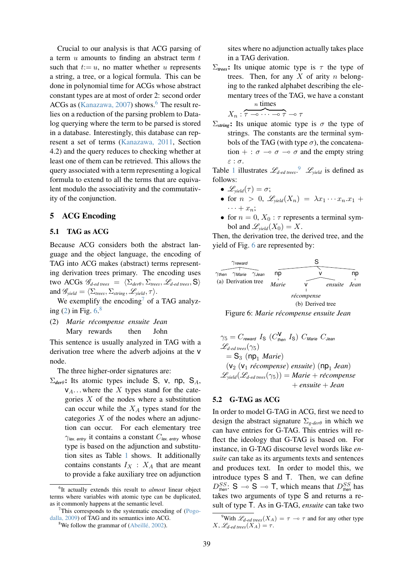Crucial to our analysis is that ACG parsing of a term  $u$  amounts to finding an abstract term  $t$ such that  $t:= u$ , no matter whether u represents a string, a tree, or a logical formula. This can be done in polynomial time for ACGs whose abstract constant types are at most of order 2: second order ACGs as (Kanazawa, 2007) shows.<sup>6</sup> The result relies on a reduction of the parsing problem to Datalog querying where the term to be parsed is stored in a database. Interestingly, this database can represent a set of terms (Kanazawa, 2011, Section 4.2) and the query reduces to checking whether at least one of them can be retrieved. This allows the query associated with a term representing a logical formula to extend to all the terms that are equivalent modulo the associativity and the commutativity of the conjunction.

# 5 ACG Encoding

#### 5.1 TAG as ACG

Because ACG considers both the abstract language and the object language, the encoding of TAG into ACG makes (abstract) terms representing derivation trees primary. The encoding uses two ACGs  $\mathscr{G}_{d\textrm{-}ed \textrm{ trees}} = \langle \Sigma_{\textit{der}\theta}, \Sigma_{\textit{trees}}, \mathscr{L}_{d\textrm{-}ed \textrm{ trees}}, \mathsf{S} \rangle$ and  $\mathscr{G}_{\text{yield}} = \langle \Sigma_{\text{trees}}, \Sigma_{\text{string}}, \mathscr{L}_{\text{yield}}, \tau \rangle$ .

We exemplify the encoding<sup>7</sup> of a TAG analyzing  $(2)$  in Fig.  $6<sup>8</sup>$ 

(2) *Marie recompense ´ ensuite Jean* Mary rewards then John

This sentence is usually analyzed in TAG with a derivation tree where the adverb adjoins at the v node.

The three higher-order signatures are:

 $\Sigma_{\text{der}\theta}$ : Its atomic types include S, v, np, S<sub>A</sub>,  $V_A$ ... where the X types stand for the categories  $X$  of the nodes where a substitution can occur while the  $X_A$  types stand for the categories  $X$  of the nodes where an adjunction can occur. For each elementary tree  $\gamma_{\text{lex. entry}}$  it contains a constant  $C_{\text{lex. entry}}$  whose type is based on the adjunction and substitution sites as Table 1 shows. It additionally contains constants  $I_X$  :  $X_A$  that are meant to provide a fake auxiliary tree on adjunction sites where no adjunction actually takes place in a TAG derivation.

 $\Sigma$ <sub>trees</sub>: Its unique atomic type is  $τ$  the type of trees. Then, for any  $X$  of arity  $n$  belonging to the ranked alphabet describing the elementary trees of the TAG, we have a constant n times

$$
X_n:\overbrace{\tau\multimap\cdots\multimap\tau}\multimap\tau
$$

 $\Sigma$ <sub>string</sub>: Its unique atomic type is σ the type of strings. The constants are the terminal symbols of the TAG (with type  $\sigma$ ), the concatenation  $+ : \sigma \multimap \sigma \multimap \sigma$  and the empty string ε : σ.

Table 1 illustrates  $\mathscr{L}_{d\textrm{-}ed \textrm{-}trees}$ .<sup>9</sup>  $\mathscr{L}_{yield}$  is defined as follows:

- $\mathscr{L}_{\text{yield}}(\tau) = \sigma;$
- for  $n > 0$ ,  $\mathscr{L}_{\text{yield}}(X_n) = \lambda x_1 \cdots x_n \cdot x_1 +$  $\cdots + x_n;$
- for  $n = 0$ ,  $X_0$ :  $\tau$  represents a terminal symbol and  $\mathscr{L}_{\text{yield}}(X_0) = X$ .

Then, the derivation tree, the derived tree, and the yield of Fig. 6 are represented by:





$$
\gamma_5 = C_{reward} I_S (C_{then}^V I_S) C_{Marie} C_{Jean}
$$
  
\n
$$
\mathcal{L}_{d-ed\ treeS}(\gamma_5)
$$
  
\n
$$
= S_3 (np_1 \ Marie)
$$
  
\n
$$
(v_2 (v_1 \ récompense) \ ensuite) (np_1 Jean)
$$
  
\n
$$
\mathcal{L}_{yield}(\mathcal{L}_{d-ed\ treeS}(\gamma_5)) = Marie + récompense
$$
  
\n
$$
+ ensuite + Jean
$$

### 5.2 G-TAG as ACG

In order to model G-TAG in ACG, first we need to design the abstract signature Σ*g-der*<sup>θ</sup> in which we can have entries for G-TAG. This entries will reflect the ideology that G-TAG is based on. For instance, in G-TAG discourse level words like *ensuite* can take as its arguments texts and sentences and produces text. In order to model this, we introduce types S and T. Then, we can define  $D_{\text{then}}^{SS}$ : S  $\rightarrow$  S  $\rightarrow$  T, which means that  $D_{\text{then}}^{SS}$  has takes two arguments of type S and returns a result of type T. As in G-TAG, *ensuite* can take two

<sup>6</sup> It actually extends this result to *almost* linear object terms where variables with atomic type can be duplicated, as it commonly happens at the semantic level.

<sup>&</sup>lt;sup>7</sup>This corresponds to the systematic encoding of (Pogodalla, 2009) of TAG and its semantics into ACG.

<sup>&</sup>lt;sup>8</sup>We follow the grammar of (Abeillé, 2002).

<sup>&</sup>lt;sup>9</sup>With  $\mathscr{L}_{d\textrm{-}ed \textrm{-} trees}(X_A) = \tau \multimap \tau$  and for any other type  $X, \mathscr{L}_{d\text{-}ed trees}(X_A) = \tau.$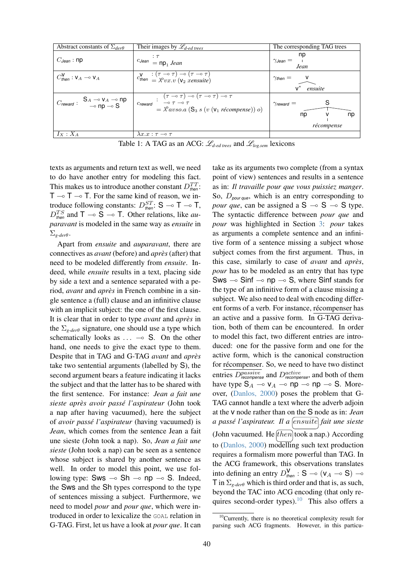| Abstract constants of $\Sigma_{der\theta}$                             | Their images by $\mathcal{L}_{d\textrm{-}ed trees}$                                                                                                                                                                                                                          | The corresponding TAG trees                                        |
|------------------------------------------------------------------------|------------------------------------------------------------------------------------------------------------------------------------------------------------------------------------------------------------------------------------------------------------------------------|--------------------------------------------------------------------|
| $C_{Jean}$ : np                                                        | $\frac{1}{1}$ CJean $\frac{1}{1}$ = np <sub>1</sub> Jean                                                                                                                                                                                                                     | np<br>$\gamma$ Jean $=$<br>Jean                                    |
| $C_{\text{then}}^{\mathbf{V}}$ : $\mathsf{V}_A \multimap \mathsf{V}_A$ | $c_{\text{then}}^{\mathsf{V}} = \begin{pmatrix} \tau - \sigma \tau \\ \lambda^0 v x \cdot v \end{pmatrix} \begin{pmatrix} \tau - \sigma \tau \\ \tau \end{pmatrix}$                                                                                                          | $\gamma_{\text{then}} = \frac{v}{\sqrt{\frac{v}{\text{ensuite}}}}$ |
| $C_{\text{reward}}: S_A \rightarrow V_A \rightarrow np$                | $\Big  \begin{array}{cc} (\tau \multimap \tau) \multimap (\tau \multimap \tau) \multimap \tau \\ \multicolumn{3}{c}{}_{\textit{Creward}} & \multimap \tau \multimap \tau \end{array} \label{eq:1}$<br>$=\lambda^{\circ}$ avso.a (S <sub>3</sub> s (v ( $v_1$ récompense)) o) | $\gamma$ reward $=$<br>np<br>np<br>v<br>récompense                 |
| $I_X: X_A$                                                             | $\lambda x . x : \tau \multimap \tau$                                                                                                                                                                                                                                        |                                                                    |

Table 1: A TAG as an ACG: L*d-ed trees* and L*log.sem* lexicons

texts as arguments and return text as well, we need to do have another entry for modeling this fact. This makes us to introduce another constant  $D_{\text{then}}^{TT}$ :  $T \rightarrow T$   $\rightarrow$  T. For the same kind of reason, we introduce following constants:  $D_{\text{then}}^{ST}$ : S  $\multimap$  T  $\multimap$  T,  $D_{\text{then}}^{TS}$  and  $T \to S \to T$ . Other relations, like *auparavant* is modeled in the same way as *ensuite* in Σ*g-der*θ.

Apart from *ensuite* and *auparavant*, there are connectives as *avant* (before) and *apres`* (after) that need to be modeled differently from *ensuite*. Indeed, while *ensuite* results in a text, placing side by side a text and a sentence separated with a period, *avant* and *apres`* in French combine in a single sentence a (full) clause and an infinitive clause with an implicit subject: the one of the first clause. It is clear that in order to type *avant* and *apres`* in the Σ*g-der*<sup>θ</sup> signature, one should use a type which schematically looks as  $\dots \multimap S$ . On the other hand, one needs to give the exact type to them. Despite that in TAG and G-TAG *avant* and *apres`* take two sentential arguments (labelled by S), the second argument bears a feature indicating it lacks the subject and that the latter has to be shared with the first sentence. For instance: *Jean a fait une sieste apres avoir pass ` e l'aspirateur ´* (John took a nap after having vacuumed), here the subject of *avoir passé l'aspirateur* (having vacuumed) is *Jean*, which comes from the sentence Jean a fait une sieste (John took a nap). So, *Jean a fait une sieste* (John took a nap) can be seen as a sentence whose subject is shared by another sentence as well. In order to model this point, we use following type: Sws  $\multimap$  Sh  $\multimap$  np  $\multimap$  S. Indeed, the Sws and the Sh types correspond to the type of sentences missing a subject. Furthermore, we need to model *pour* and *pour que*, which were introduced in order to lexicalize the GOAL relation in G-TAG. First, let us have a look at *pour que*. It can

take as its arguments two complete (from a syntax point of view) sentences and results in a sentence as in: *Il travaille pour que vous puissiez manger*. So, D*pour que*, which is an entry corresponding to *pour que*, can be assigned a  $S \sim S \sim S$  type. The syntactic difference between *pour que* and *pour* was highlighted in Section 3: *pour* takes as arguments a complete sentence and an infinitive form of a sentence missing a subject whose subject comes from the first argument. Thus, in this case, similarly to case of *avant* and *après*. *pour* has to be modeled as an entry that has type Sws  $\sim$  Sinf  $\sim$  np  $\sim$  S, where Sinf stands for the type of an infinitive form of a clause missing a subject. We also need to deal with encoding different forms of a verb. For instance, récompenser has an active and a passive form. In G-TAG derivation, both of them can be encountered. In order to model this fact, two different entries are introduced: one for the passive form and one for the active form, which is the canonical construction for récompenser. So, we need to have two distinct entries  $D_{recompense}^{passive}$  and  $D_{recompense}^{active}$ , and both of them have type  $S_A \multimap v_A \multimap np \multimap np \multimap S$ . Moreover, (Danlos, 2000) poses the problem that G-TAG cannot handle a text where the adverb adjoin at the v node rather than on the S node as in: *Jean a passé l'aspirateur. Il a*  $[ensure]$  *fait une sieste* (John vacuumed. He  $[then]$  took a nap.) According to (Danlos, 2000) modelling such text production requires a formalism more powerful than TAG. In the ACG framework, this observations translates into defining an entry  $D_{\text{then}}^{\mathbf{V}}$  : S  $\multimap$  ( $v_A \multimap$  S)  $\multimap$ T in  $\Sigma_{g\text{-}der\theta}$  which is third order and that is, as such, beyond the TAC into ACG encoding (that only requires second-order types).<sup>10</sup> This also offers a

 $10$ Currently, there is no theoretical complexity result for parsing such ACG fragments. However, in this particu-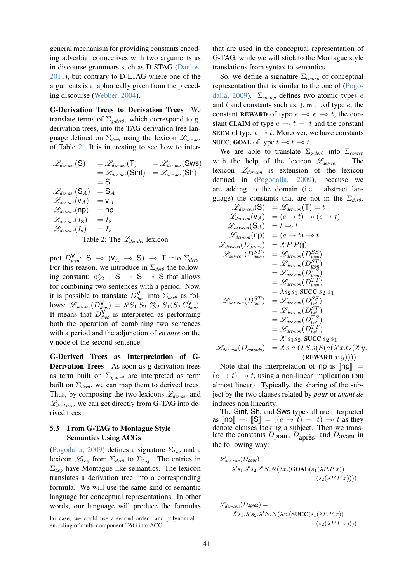general mechanism for providing constants encoding adverbial connectives with two arguments as in discourse grammars such as D-STAG (Danlos, 2011), but contrary to D-LTAG where one of the arguments is anaphorically given from the preceding discourse (Webber, 2004).

G-Derivation Trees to Derivation Trees We translate terms of  $\Sigma_{g\text{-}der\theta}$ , which correspond to gderivation trees, into the TAG derivation tree language defined on Σ*der*<sup>θ</sup> using the lexicon L*der-der* of Table 2. It is interesting to see how to inter-

$$
\mathcal{L}_{der-der}(S) = \mathcal{L}_{der-der}(T) = \mathcal{L}_{der-der}(Sws)
$$
  
\n
$$
= \mathcal{L}_{der-der}(Sinf) = \mathcal{L}_{der-der}(Sh)
$$
  
\n
$$
= S
$$
  
\n
$$
\mathcal{L}_{der-der}(S_A) = S_A
$$
  
\n
$$
\mathcal{L}_{der-der}(V_A) = V_A
$$
  
\n
$$
\mathcal{L}_{der-der}(I_S) = n_p
$$
  
\n
$$
\mathcal{L}_{der-der}(I_S) = I_S
$$
  
\n
$$
\mathcal{L}_{der-der}(I_V) = I_V
$$

Table 2: The L*der-der* lexicon

pret  $D_{\text{then}}^{\mathbf{V}}$ : S  $\rightarrow$  ( $\mathsf{v}_A \rightarrow$  S)  $\rightarrow$  T into  $\Sigma_{\text{der}\theta}$ . For this reason, we introduce in  $\Sigma_{der\theta}$  the following constant:  $\mathbb{S}_2$  :  $S \sim S \sim S$  that allows for combining two sentences with a period. Now, it is possible to translate  $D_{\text{then}}^{\mathsf{V}}$  into  $\Sigma_{\text{der}\theta}$  as fol- $\lim_{M \to \infty} \mathcal{L}_{der-der}(D_{\text{then}}^{\mathbf{V}}) = \frac{\lambda^{\circ} S_1^{(m)}}{S_2 \cdot S_2} \cdot S_1^{(m)}(S_2 C_{\text{then}}^{\mathbf{V}}).$ It means that  $D_{\text{then}}^{\mathbf{V}}$  is interpreted as performing both the operation of combining two sentences with a period and the adjunction of *ensuite* on the v node of the second sentence.

G-Derived Trees as Interpretation of G-Derivation Trees As soon as g-derivation trees as term built on Σ*g-der*<sup>θ</sup> are interpreted as term built on  $\Sigma_{der\theta}$ , we can map them to derived trees. Thus, by composing the two lexicons L*der-der* and  $\mathcal{L}_{d\textrm{-}ed \textrm{-}trees}$  we can get directly from G-TAG into derived trees

### 5.3 From G-TAG to Montague Style Semantics Using ACGs

(Pogodalla, 2009) defines a signature Σ*Log* and a lexicon  $\mathscr{L}_{Log}$  from  $\Sigma_{der\theta}$  to  $\Sigma_{Log}$ . The entries in Σ*Log* have Montague like semantics. The lexicon translates a derivation tree into a corresponding formula. We will use the same kind of semantic language for conceptual representations. In other words, our language will produce the formulas that are used in the conceptual representation of G-TAG, while we will stick to the Montague style translations from syntax to semantics.

So, we define a signature Σ*conrep* of conceptual representation that is similar to the one of (Pogodalla, 2009). Σ*conrep* defines two atomic types e and t and constants such as:  $j, m \dots$  of type e, the constant REWARD of type  $e \multimap e \multimap t$ , the constant CLAIM of type  $e \multimap t \multimap t$  and the constant SEEM of type  $t \multimap t$ . Moreover, we have constants SUCC, GOAL of type  $t \to t \to t$ .

We are able to translate Σ*g-der*<sup>θ</sup> into Σ*conrep* with the help of the lexicon L*der-con*. The lexicon L*der-con* is extension of the lexicon defined in (Pogodalla, 2009), because we are adding to the domain (i.e. abstract language) the constants that are not in the Σ*der*θ.

$$
\mathcal{L}_{der-con}(\mathbf{S}) = \mathcal{L}_{der-con}(\mathbf{T}) = t
$$
\n
$$
\mathcal{L}_{der-con}(\mathbf{v}_A) = (e \to t) \to (e \to t)
$$
\n
$$
\mathcal{L}_{der-con}(\mathbf{S}_A) = t \to t
$$
\n
$$
\mathcal{L}_{der-con}(\mathbf{np}) = (e \to t) \to t
$$
\n
$$
\mathcal{L}_{der-con}(\mathbf{np}) = (e \to t) \to t
$$
\n
$$
\mathcal{L}_{der-con}(\mathbf{D}_{fean}) = \mathcal{R} \circ \mathbf{P}.\mathbf{P}(\mathbf{j})
$$
\n
$$
\mathcal{L}_{der-con}(\mathbf{D}_{then}^{ST}) = \mathcal{L}_{der-con}(\mathbf{D}_{then}^{SS})
$$
\n
$$
= \mathcal{L}_{der-con}(\mathbf{D}_{then}^{TS})
$$
\n
$$
= \mathcal{L}_{der-con}(\mathbf{D}_{then}^{TS})
$$
\n
$$
= \mathcal{L}_{der-con}(\mathbf{D}_{then}^{T})
$$
\n
$$
= \lambda_{S2} s_1 . \text{SUCC } s_2 s_1
$$
\n
$$
\mathcal{L}_{der-con}(\mathbf{D}_{bet}^{ST}) = \mathcal{L}_{der-con}(\mathbf{D}_{bet}^{S})
$$
\n
$$
= \mathcal{L}_{der-con}(\mathbf{D}_{bet}^{ST})
$$
\n
$$
= \mathcal{L}_{der-con}(\mathbf{D}_{bet}^{T})
$$
\n
$$
= \mathcal{L}_{der-con}(\mathbf{D}_{bet}^{T})
$$
\n
$$
= \lambda^o s_1 s_2 . \text{SUCC } s_2 s_1
$$
\n
$$
\mathcal{L}_{der-con}(\mathbf{D}_{rewards}) = \lambda^o s a O S . s (S(a(\lambda^o x . O(\lambda^o y \cdot
$$
\n(**REWARD** x y))))

Note that the interpretation of np is  $\llbracket np \rrbracket =$  $(e \rightarrow t) \rightarrow t$ , using a non-linear implication (but almost linear). Typically, the sharing of the subject by the two clauses related by *pour* or *avant de* induces non linearity.

The Sinf, Sh, and Sws types all are interpreted as  $\ln p \sim \|\mathbf{S}\| = ((e \rightarrow t) \rightarrow t)$  t as they denote clauses lacking a subject. Then we translate the constants  $D_{\text{pour}}, D_{\text{après}}$ , and  $D_{\text{avant}}$  in the following way:

$$
\mathcal{L}_{der-con}(D_{pour}) =
$$
  

$$
\lambda^{0} s_{1} \cdot \lambda^{0} s_{2} \cdot \lambda^{0} N \cdot N(\lambda x.(\text{GOAL}(s_{1}(\lambda P.P x)))
$$
  

$$
(s_{2}(\lambda P.P x))))
$$

$$
\mathcal{L}_{der-con}(D_{\text{apres}}) =
$$
  

$$
\lambda^{0} s_{1} \cdot \lambda^{0} s_{2} \cdot \lambda^{0} N \cdot N(\lambda x. (\text{SUCC}(s_{1}(\lambda P.P x)))
$$
  

$$
(s_{2}(\lambda P.P x))))
$$

lar case, we could use a second-order—and polynomial encoding of multi-component TAG into ACG.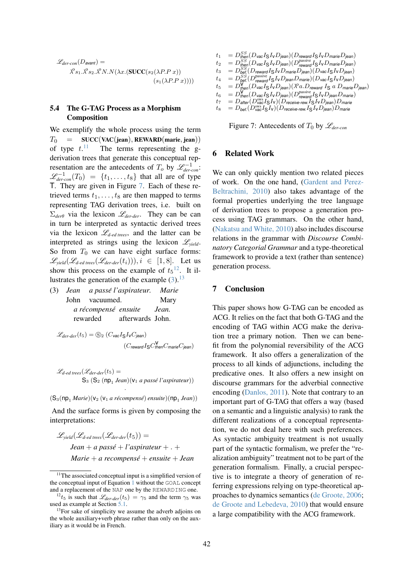$$
\mathcal{L}_{der-con}(D_{\text{avant}}) =
$$
  

$$
\lambda^{o} s_1 \cdot \lambda^{o} s_2 \cdot \lambda^{o} N \cdot N(\lambda x.(\text{SUCC}(s_2(\lambda P.P x)))
$$
  

$$
(s_1(\lambda P.P x))))
$$

## 5.4 The G-TAG Process as a Morphism Composition

We exemplify the whole process using the term  $T_0$  = SUCC(VAC(jean), REWARD(marie, jean)) of type  $t$ .<sup>11</sup> The terms representing the gderivation trees that generate this conceptual representation are the antecedents of  $T_o$  by  $\mathscr{L}_{der-con}^{-1}$ .  $\mathscr{L}_{dercon}^{-1}(T_0) = \{t_1, \ldots, t_8\}$  that all are of type T. They are given in Figure 7. Each of these retrieved terms  $t_1, \ldots, t_8$  are then mapped to terms representing TAG derivation trees, i.e. built on Σ*der*<sup>θ</sup> via the lexicon L*der-der*. They can be can in turn be interpreted as syntactic derived trees via the lexicon  $\mathcal{L}_{d\textrm{-}ed \textrm{ }trees}$ , and the latter can be interpreted as strings using the lexicon L*yield*. So from  $T_0$  we can have eight surface forms:  $\mathscr{L}_{\text{yield}}(\mathscr{L}_{\text{d-ed trees}}(\mathscr{L}_{\text{der-der}}(t_i))), i \in [1, 8].$  Let us show this process on the example of  $t_5$ <sup>12</sup>. It illustrates the generation of the example  $(3)$ .<sup>13</sup>

(3) *Jean* John *a passe l'aspirateur. ´* vacuumed. *Marie* Mary *a* récompensé ensuite rewarded afterwards John. *Jean.*

 $\mathscr{L}_{der\text{-}der}(t_5) = \bigcircledS_2 (C_{\text{vac}} I_S I_V C_{\text{jean}})$ (C*reward* ISC v *then*C*marie*C*jean*)

$$
\mathcal{L}_{d\textrm{-}ed \textrm{ trees}}(\mathcal{L}_{der\textrm{-}der}(t_5) =
$$
  
\n
$$
S_3 (S_2 (np_1 \textrm{ Jean})(v_1 \textrm{ a pass\'e l'aspirateur}))
$$

·  $(S_3(np_1 \text{ Marie})(v_2 \ (v_1 \text{ a récompensé}) \text{ ensuite})(np_1 \text{ Jean}))$ 

And the surface forms is given by composing the interpretations:

$$
\mathcal{L}_{yield}(\mathcal{L}_{d\text{-}ed\text{-}trees}(\mathcal{L}_{der\text{-}der}(t_5)) =
$$
  
Jean + a passé + l'aspirateur + . +  
Marie + a recompensé + ensuite + Jean

$$
\begin{array}{ll} t_1 &= D_{then}^{SS}(D_{\text{vac}}I_{\mathbf{S}}I_{\text{V}}D_{\text{jean}})(D_{\text{reward}}I_{\mathbf{S}}I_{\text{V}}D_{\text{main}}D_{\text{jean}}) \\ t_2 &= D_{then}^{SS}(D_{\text{vac}}I_{\mathbf{S}}I_{\text{V}}D_{\text{jean}})(D_{\text{reward}}^{passive}I_{\mathbf{S}}I_{\text{V}}D_{\text{main}}D_{\text{jean}}) \\ t_3 &= D_{\text{D}}^{SS}(D_{\text{reward}}I_{\mathbf{S}}I_{\text{V}}D_{\text{main}}D_{\text{jean}})(D_{\text{vac}}I_{\mathbf{S}}I_{\text{V}}D_{\text{jean}}) \\ t_4 &= D_{\text{bet}}^{SS}(D_{\text{reward}}^{passive}I_{\mathbf{S}}I_{\text{V}}D_{\text{jean}}D_{\text{main}}(D_{\text{vac}}I_{\mathbf{S}}I_{\text{V}}D_{\text{jean}}) \\ t_5 &= D_{\text{then}}^{W}(D_{\text{vac}}I_{\mathbf{S}}I_{\text{V}}D_{\text{jean}})(\lambda^{\alpha}a.D_{\text{reward}}I_{\mathbf{S}}a.D_{\text{main}}D_{\text{jean}}) \\ t_6 &= D_{\text{then}}^{W}(D_{\text{vac}}I_{\mathbf{S}}I_{\text{V}}D_{\text{jean}})(D_{\text{pressure}}I_{\mathbf{S}}I_{\text{V}}D_{\text{jean}}D_{\text{main}}) \\ t_7 &= D_{\text{after}}(D_{\text{vac}}^{sw}I_{\mathbf{S}}I_{\text{V}})(D_{\text{receive-rew}}I_{\mathbf{S}}I_{\text{V}}D_{\text{jean}})D_{\text{main}} \end{array}
$$

$$
t_8 = D_{\text{bef.}}(D_{\text{vac}}^{\text{sws}} I_S I_V)(D_{\text{receive-rew.}} I_S I_V D_{\text{jean}})D_{\text{marie}}
$$

Figure 7: Antecedents of  $T_0$  by  $\mathscr{L}_{der-con}$ 

### 6 Related Work

We can only quickly mention two related pieces of work. On the one hand, (Gardent and Perez-Beltrachini, 2010) also takes advantage of the formal properties underlying the tree language of derivation trees to propose a generation process using TAG grammars. On the other hand, (Nakatsu and White, 2010) also includes discourse relations in the grammar with *Discourse Combinatory Categorial Grammar* and a type-theoretical framework to provide a text (rather than sentence) generation process.

#### 7 Conclusion

This paper shows how G-TAG can be encoded as ACG. It relies on the fact that both G-TAG and the encoding of TAG within ACG make the derivation tree a primary notion. Then we can benefit from the polynomial reversibility of the ACG framework. It also offers a generalization of the process to all kinds of adjunctions, including the predicative ones. It also offers a new insight on discourse grammars for the adverbial connective encoding (Danlos, 2011). Note that contrary to an important part of G-TAG that offers a way (based on a semantic and a linguistic analysis) to rank the different realizations of a conceptual representation, we do not deal here with such preferences. As syntactic ambiguity treatment is not usually part of the syntactic formalism, we prefer the "realization ambiguity" treatment not to be part of the generation formalism. Finally, a crucial perspective is to integrate a theory of generation of referring expressions relying on type-theoretical approaches to dynamics semantics (de Groote, 2006; de Groote and Lebedeva, 2010) that would ensure a large compatibility with the ACG framework.

 $11$ The associated conceptual input is a simplified version of the conceptual input of Equation 1 without the GOAL concept and a replacement of the NAP one by the REWARDING one.

<sup>&</sup>lt;sup>12</sup>t<sub>5</sub> is such that  $\mathcal{L}_{der-der}(t_5) = \gamma_5$  and the term  $\gamma_5$  was used as example at Section 5.1.

<sup>&</sup>lt;sup>13</sup>For sake of simplicity we assume the adverb adjoins on the whole auxiliary+verb phrase rather than only on the auxiliary as it would be in French.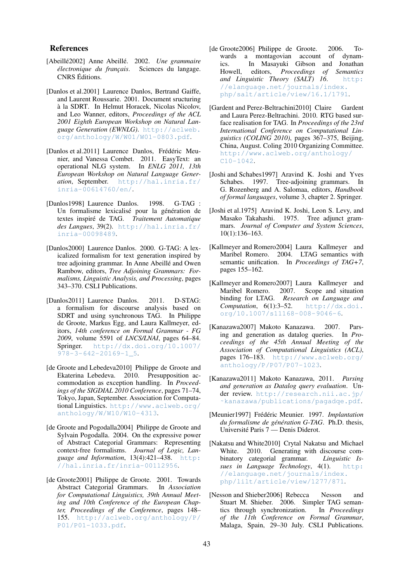#### References

- [Abeillé2002] Anne Abeillé. 2002. Une grammaire *électronique du français*. Sciences du langage. CNRS Editions.
- [Danlos et al.2001] Laurence Danlos, Bertrand Gaiffe, and Laurent Roussarie. 2001. Document sructuring a la SDRT. In Helmut Horacek, Nicolas Nicolov, ` and Leo Wanner, editors, *Proceedings of the ACL 2001 Eighth European Workshop on Natural Language Generation (EWNLG)*. http://aclweb. org/anthology/W/W01/W01-0803.pdf.
- [Danlos et al.2011] Laurence Danlos, Frédéric Meunier, and Vanessa Combet. 2011. EasyText: an operational NLG system. In *ENLG 2011, 13th European Workshop on Natural Language Generation*, September. http://hal.inria.fr/ inria-00614760/en/.
- [Danlos1998] Laurence Danlos. 1998. G-TAG : Un formalisme lexicalisé pour la génération de textes inspire de TAG. ´ *Traitement Automatique des Langues*, 39(2). http://hal.inria.fr/ inria-00098489.
- [Danlos2000] Laurence Danlos. 2000. G-TAG: A lexicalized formalism for text generation inspired by tree adjoining grammar. In Anne Abeillé and Owen Rambow, editors, *Tree Adjoining Grammars: Formalisms, Linguistic Analysis, and Processing*, pages 343–370. CSLI Publications.
- [Danlos2011] Laurence Danlos. 2011. D-STAG: a formalism for discourse analysis based on SDRT and using synchronous TAG. In Philippe de Groote, Markus Egg, and Laura Kallmeyer, editors, *14th conference on Formal Grammar - FG 2009*, volume 5591 of *LNCS/LNAI*, pages 64–84. Springer. http://dx.doi.org/10.1007/ 978-3-642-20169-1\_5.
- [de Groote and Lebedeva2010] Philippe de Groote and Ekaterina Lebedeva. 2010. Presupposition accommodation as exception handling. In *Proceedings of the SIGDIAL 2010 Conference*, pages 71–74, Tokyo, Japan, September. Association for Computational Linguistics. http://www.aclweb.org/ anthology/W/W10/W10-4313.
- [de Groote and Pogodalla2004] Philippe de Groote and Sylvain Pogodalla. 2004. On the expressive power of Abstract Categorial Grammars: Representing context-free formalisms. *Journal of Logic, Language and Information*, 13(4):421–438. http: //hal.inria.fr/inria-00112956.
- [de Groote2001] Philippe de Groote. 2001. Towards Abstract Categorial Grammars. In *Association for Computational Linguistics, 39th Annual Meeting and 10th Conference of the European Chapter, Proceedings of the Conference*, pages 148– 155. http://aclweb.org/anthology/P/ P01/P01-1033.pdf.
- [de Groote2006] Philippe de Groote. 2006. Towards a montagovian account of dynamics. In Masayuki Gibson and Jonathan Howell, editors, *Proceedings of Semantics and Linguistic Theory (SALT) 16*. http: //elanguage.net/journals/index. php/salt/article/view/16.1/1791.
- [Gardent and Perez-Beltrachini2010] Claire Gardent and Laura Perez-Beltrachini. 2010. RTG based surface realisation for TAG. In *Proceedings of the 23rd International Conference on Computational Linguistics (COLING 2010)*, pages 367–375, Beijing, China, August. Coling 2010 Organizing Committee. http://www.aclweb.org/anthology/ C10-1042.
- [Joshi and Schabes1997] Aravind K. Joshi and Yves Schabes. 1997. Tree-adjoining grammars. In G. Rozenberg and A. Salomaa, editors, *Handbook of formal languages*, volume 3, chapter 2. Springer.
- [Joshi et al.1975] Aravind K. Joshi, Leon S. Levy, and Masako Takahashi. 1975. Tree adjunct grammars. *Journal of Computer and System Sciences*, 10(1):136–163.
- [Kallmeyer and Romero2004] Laura Kallmeyer and Maribel Romero. 2004. LTAG semantics with semantic unification. In *Proceedings of TAG+7*, pages 155–162.
- [Kallmeyer and Romero2007] Laura Kallmeyer and Maribel Romero. 2007. Scope and situation binding for LTAG. *Research on Language and Computation*, 6(1):3–52. http://dx.doi. org/10.1007/s11168-008-9046-6.
- [Kanazawa2007] Makoto Kanazawa. 2007. Parsing and generation as datalog queries. In *Proceedings of the 45th Annual Meeting of the Association of Computational Linguistics (ACL)*, pages 176–183. http://www.aclweb.org/ anthology/P/P07/P07-1023.
- [Kanazawa2011] Makoto Kanazawa, 2011. *Parsing and generation as Datalog query evaluation*. Under review. http://research.nii.ac.jp/ ˜kanazawa/publications/pagadqe.pdf.
- [Meunier1997] Frédéric Meunier. 1997. *Implantation du formalisme de génération G-TAG*. Ph.D. thesis, Université Paris 7 — Denis Diderot.
- [Nakatsu and White2010] Crytal Nakatsu and Michael White. 2010. Generating with discourse combinatory categorial grammar. *Linguistic Issues in Language Technology*, 4(1). http: //elanguage.net/journals/index. php/lilt/article/view/1277/871.
- [Nesson and Shieber2006] Rebecca Nesson and Stuart M. Shieber. 2006. Simpler TAG semantics through synchronization. In *Proceedings of the 11th Conference on Formal Grammar*, Malaga, Spain, 29–30 July. CSLI Publications.